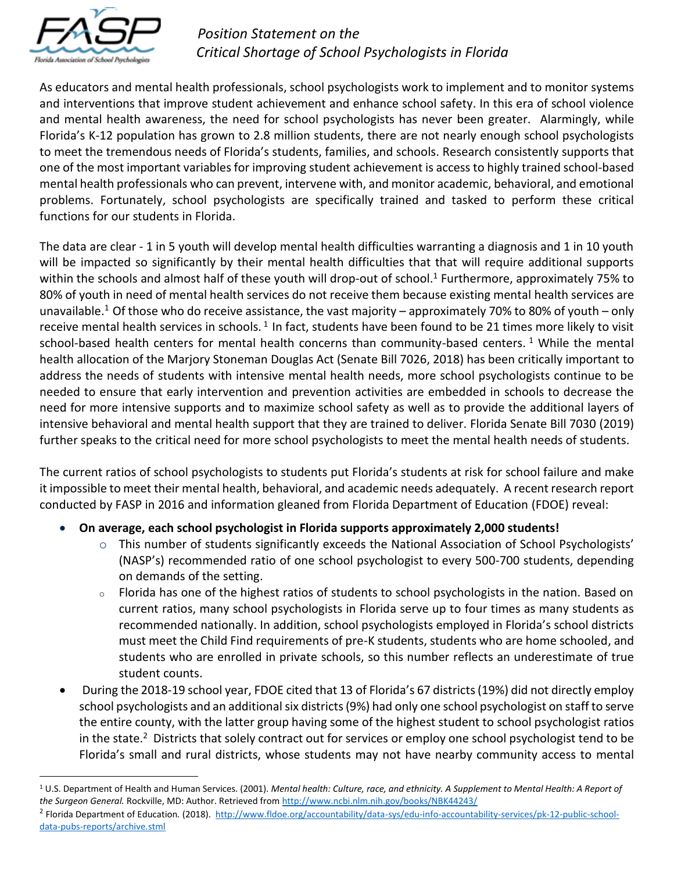

 $\overline{a}$ 

## *Position Statement on the Critical Shortage of School Psychologists in Florida*

As educators and mental health professionals, school psychologists work to implement and to monitor systems and interventions that improve student achievement and enhance school safety. In this era of school violence and mental health awareness, the need for school psychologists has never been greater. Alarmingly, while Florida's K-12 population has grown to 2.8 million students, there are not nearly enough school psychologists to meet the tremendous needs of Florida's students, families, and schools. Research consistently supports that one of the most important variables for improving student achievement is access to highly trained school-based mental health professionals who can prevent, intervene with, and monitor academic, behavioral, and emotional problems. Fortunately, school psychologists are specifically trained and tasked to perform these critical functions for our students in Florida.

The data are clear - 1 in 5 youth will develop mental health difficulties warranting a diagnosis and 1 in 10 youth will be impacted so significantly by their mental health difficulties that that will require additional supports within the schools and almost half of these youth will drop-out of school.<sup>1</sup> Furthermore, approximately 75% to 80% of youth in need of mental health services do not receive them because existing mental health services are unavailable.<sup>1</sup> Of those who do receive assistance, the vast majority – approximately 70% to 80% of youth – only receive mental health services in schools.<sup>1</sup> In fact, students have been found to be 21 times more likely to visit school-based health centers for mental health concerns than community-based centers.<sup>1</sup> While the mental health allocation of the Marjory Stoneman Douglas Act (Senate Bill 7026, 2018) has been critically important to address the needs of students with intensive mental health needs, more school psychologists continue to be needed to ensure that early intervention and prevention activities are embedded in schools to decrease the need for more intensive supports and to maximize school safety as well as to provide the additional layers of intensive behavioral and mental health support that they are trained to deliver. Florida Senate Bill 7030 (2019) further speaks to the critical need for more school psychologists to meet the mental health needs of students.

The current ratios of school psychologists to students put Florida's students at risk for school failure and make it impossible to meet their mental health, behavioral, and academic needs adequately. A recent research report conducted by FASP in 2016 and information gleaned from Florida Department of Education (FDOE) reveal:

- **On average, each school psychologist in Florida supports approximately 2,000 students!**
	- o This number of students significantly exceeds the National Association of School Psychologists' (NASP's) recommended ratio of one school psychologist to every 500-700 students, depending on demands of the setting.
	- o Florida has one of the highest ratios of students to school psychologists in the nation. Based on current ratios, many school psychologists in Florida serve up to four times as many students as recommended nationally. In addition, school psychologists employed in Florida's school districts must meet the Child Find requirements of pre-K students, students who are home schooled, and students who are enrolled in private schools, so this number reflects an underestimate of true student counts.
- During the 2018-19 school year, FDOE cited that 13 of Florida's 67 districts (19%) did not directly employ school psychologists and an additional six districts(9%) had only one school psychologist on staff to serve the entire county, with the latter group having some of the highest student to school psychologist ratios in the state.<sup>2</sup> Districts that solely contract out for services or employ one school psychologist tend to be Florida's small and rural districts, whose students may not have nearby community access to mental

<sup>1</sup> U.S. Department of Health and Human Services. (2001). *Mental health: Culture, race, and ethnicity. A Supplement to Mental Health: A Report of the Surgeon General.* Rockville, MD: Author. Retrieved fro[m http://www.ncbi.nlm.nih.gov/books/NBK44243/](http://www.ncbi.nlm.nih.gov/books/NBK44243/)

<sup>&</sup>lt;sup>2</sup> Florida Department of Education. (2018). [http://www.fldoe.org/accountability/data-sys/edu-info-accountability-services/pk-12-public-school](http://www.fldoe.org/accountability/data-sys/edu-info-accountability-services/pk-12-public-school-data-pubs-reports/archive.stml)[data-pubs-reports/archive.stml](http://www.fldoe.org/accountability/data-sys/edu-info-accountability-services/pk-12-public-school-data-pubs-reports/archive.stml)